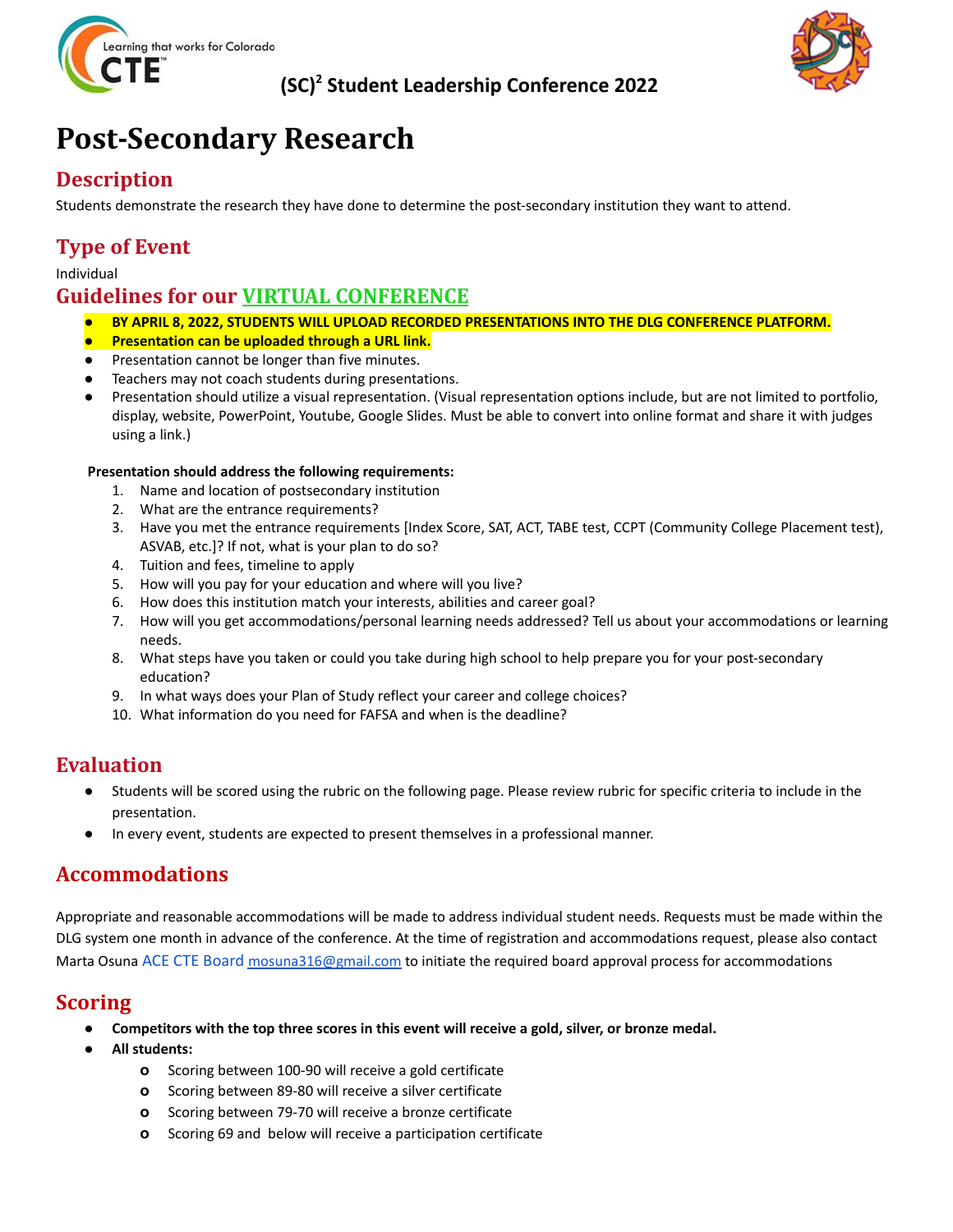

## **(SC) <sup>2</sup> Student Leadership Conference 2022**



## **Post-Secondary Research**

## **Description**

Students demonstrate the research they have done to determine the post-secondary institution they want to attend.

## **Type of Event**

#### Individual

## **Guidelines for our VIRTUAL CONFERENCE**

- *●* **BY APRIL 8, 2022, STUDENTS WILL UPLOAD RECORDED PRESENTATIONS INTO THE DLG CONFERENCE PLATFORM.**
- **Presentation can be uploaded through a URL link.**
- Presentation cannot be longer than five minutes.
- Teachers may not coach students during presentations.
- *●* Presentation should utilize a visual representation. (Visual representation options include, but are not limited to portfolio, display, website, PowerPoint, Youtube, Google Slides. Must be able to convert into online format and share it with judges using a link.)

#### **Presentation should address the following requirements:**

- 1. Name and location of postsecondary institution
- 2. What are the entrance requirements?
- 3. Have you met the entrance requirements [Index Score, SAT, ACT, TABE test, CCPT (Community College Placement test), ASVAB, etc.]? If not, what is your plan to do so?
- 4. Tuition and fees, timeline to apply
- 5. How will you pay for your education and where will you live?
- 6. How does this institution match your interests, abilities and career goal?
- 7. How will you get accommodations/personal learning needs addressed? Tell us about your accommodations or learning needs.
- 8. What steps have you taken or could you take during high school to help prepare you for your post-secondary education?
- 9. In what ways does your Plan of Study reflect your career and college choices?
- 10. What information do you need for FAFSA and when is the deadline?

## **Evaluation**

- Students will be scored using the rubric on the following page. Please review rubric for specific criteria to include in the presentation.
- In every event, students are expected to present themselves in a professional manner.

## **Accommodations**

Appropriate and reasonable accommodations will be made to address individual student needs. Requests must be made within the DLG system one month in advance of the conference. At the time of registration and accommodations request, please also contact Marta Osuna ACE CTE Board [mosuna316@gmail.com](mailto:mosuna316@gmail.com) to initiate the required board approval process for accommodations

## **Scoring**

- Competitors with the top three scores in this event will receive a gold, silver, or bronze medal.
- **● All students:**
	- **o** Scoring between 100-90 will receive a gold certificate
	- **o** Scoring between 89-80 will receive a silver certificate
	- **o** Scoring between 79-70 will receive a bronze certificate
	- **o** Scoring 69 and below will receive a participation certificate